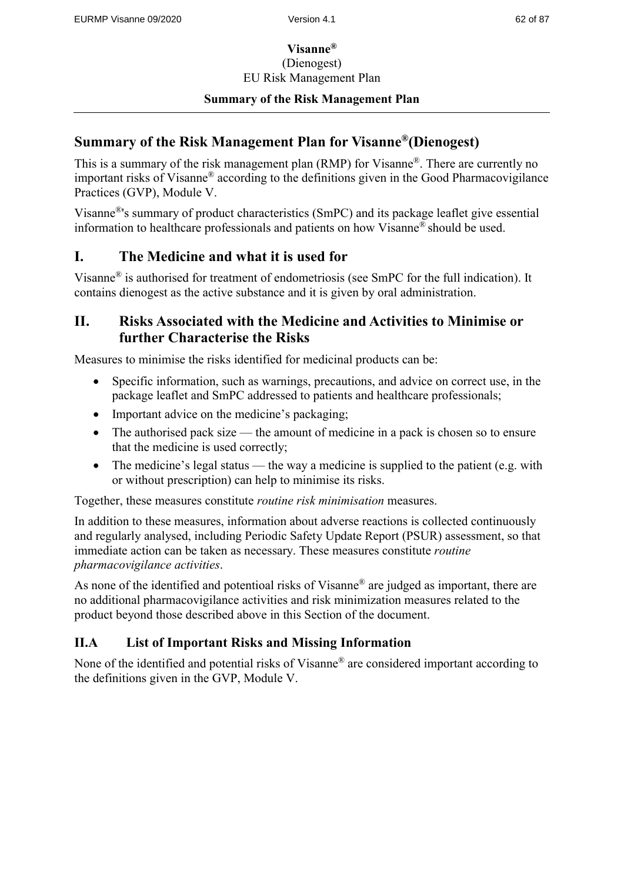## **Visanne®** (Dienogest) EU Risk Management Plan

#### **Summary of the Risk Management Plan**

## **Summary of the Risk Management Plan for Visanne®(Dienogest)**

This is a summary of the risk management plan (RMP) for Visanne®. There are currently no important risks of Visanne® according to the definitions given in the Good Pharmacovigilance Practices (GVP), Module V.

Visanne®'s summary of product characteristics (SmPC) and its package leaflet give essential information to healthcare professionals and patients on how Visanne® should be used.

# **I. The Medicine and what it is used for**

Visanne® is authorised for treatment of endometriosis (see SmPC for the full indication). It contains dienogest as the active substance and it is given by oral administration.

## **II. Risks Associated with the Medicine and Activities to Minimise or further Characterise the Risks**

Measures to minimise the risks identified for medicinal products can be:

- Specific information, such as warnings, precautions, and advice on correct use, in the package leaflet and SmPC addressed to patients and healthcare professionals;
- Important advice on the medicine's packaging;
- The authorised pack size the amount of medicine in a pack is chosen so to ensure that the medicine is used correctly;
- The medicine's legal status the way a medicine is supplied to the patient (e.g. with or without prescription) can help to minimise its risks.

Together, these measures constitute *routine risk minimisation* measures.

In addition to these measures, information about adverse reactions is collected continuously and regularly analysed, including Periodic Safety Update Report (PSUR) assessment, so that immediate action can be taken as necessary. These measures constitute *routine pharmacovigilance activities*.

As none of the identified and potentioal risks of Visanne<sup>®</sup> are judged as important, there are no additional pharmacovigilance activities and risk minimization measures related to the product beyond those described above in this Section of the document.

## **II.A List of Important Risks and Missing Information**

None of the identified and potential risks of Visanne® are considered important according to the definitions given in the GVP, Module V.